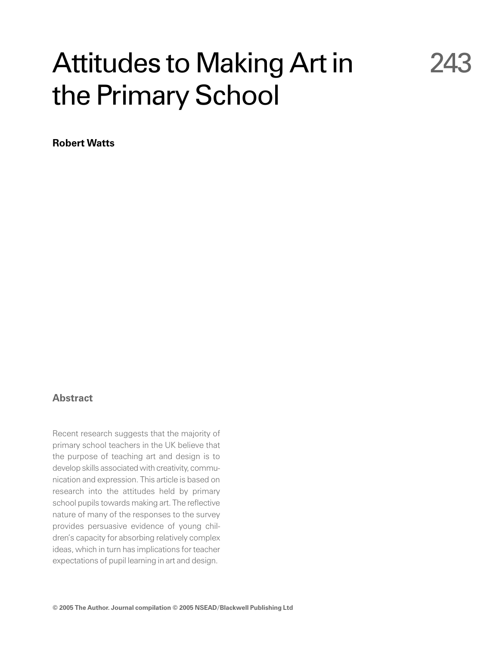# Attitudes to Making Art in 243 the Primary School

**Robert Watts**

# **Abstract**

Recent research suggests that the majority of primary school teachers in the UK believe that the purpose of teaching art and design is to develop skills associated with creativity, communication and expression. This article is based on research into the attitudes held by primary school pupils towards making art. The reflective nature of many of the responses to the survey provides persuasive evidence of young children's capacity for absorbing relatively complex ideas, which in turn has implications for teacher expectations of pupil learning in art and design.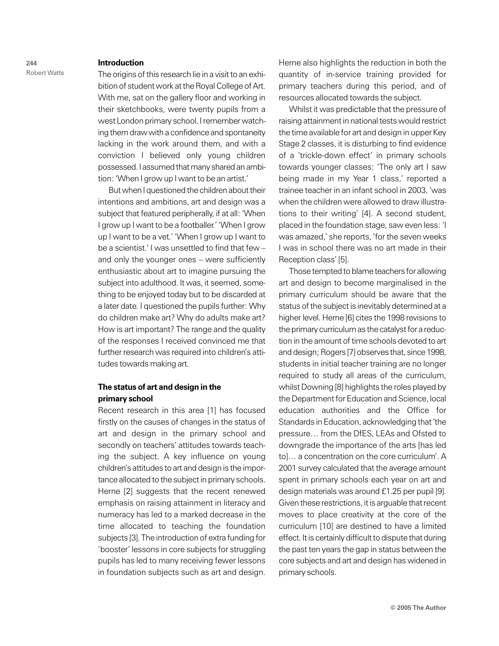#### **Introduction**

Robert Watts

**244**

The origins of this research lie in a visit to an exhibition of student work at the Royal College of Art. With me, sat on the gallery floor and working in their sketchbooks, were twenty pupils from a west London primary school. I remember watching them draw with a confidence and spontaneity lacking in the work around them, and with a conviction I believed only young children possessed. I assumed that many shared an ambition: 'When I grow up I want to be an artist.'

But when I questioned the children about their intentions and ambitions, art and design was a subject that featured peripherally, if at all: 'When I grow up I want to be a footballer.' 'When I grow up I want to be a vet.' 'When I grow up I want to be a scientist.' I was unsettled to find that few – and only the younger ones – were sufficiently enthusiastic about art to imagine pursuing the subject into adulthood. It was, it seemed, something to be enjoyed today but to be discarded at a later date. I questioned the pupils further: Why do children make art? Why do adults make art? How is art important? The range and the quality of the responses I received convinced me that further research was required into children's attitudes towards making art.

## **The status of art and design in the primary school**

Recent research in this area [1] has focused firstly on the causes of changes in the status of art and design in the primary school and secondly on teachers' attitudes towards teaching the subject. A key influence on young children's attitudes to art and design is the importance allocated to the subject in primary schools. Herne [2] suggests that the recent renewed emphasis on raising attainment in literacy and numeracy has led to a marked decrease in the time allocated to teaching the foundation subjects [3]. The introduction of extra funding for 'booster' lessons in core subjects for struggling pupils has led to many receiving fewer lessons in foundation subjects such as art and design.

Herne also highlights the reduction in both the quantity of in-service training provided for primary teachers during this period, and of resources allocated towards the subject.

Whilst it was predictable that the pressure of raising attainment in national tests would restrict the time available for art and design in upper Key Stage 2 classes, it is disturbing to find evidence of a 'trickle-down effect' in primary schools towards younger classes: 'The only art I saw being made in my Year 1 class,' reported a trainee teacher in an infant school in 2003, 'was when the children were allowed to draw illustrations to their writing' [4]. A second student, placed in the foundation stage, saw even less: 'I was amazed,' she reports, 'for the seven weeks I was in school there was no art made in their Reception class' [5].

Those tempted to blame teachers for allowing art and design to become marginalised in the primary curriculum should be aware that the status of the subject is inevitably determined at a higher level. Herne [6] cites the 1998 revisions to the primary curriculum as the catalyst for a reduction in the amount of time schools devoted to art and design; Rogers [7] observes that, since 1998. students in initial teacher training are no longer required to study all areas of the curriculum, whilst Downing [8] highlights the roles played by the Department for Education and Science, local education authorities and the Office for Standards in Education, acknowledging that 'the pressure… from the DfES, LEAs and Ofsted to downgrade the importance of the arts [has led to]… a concentration on the core curriculum'. A 2001 survey calculated that the average amount spent in primary schools each year on art and design materials was around £1.25 per pupil [9]. Given these restrictions, it is arguable that recent moves to place creativity at the core of the curriculum [10] are destined to have a limited effect. It is certainly difficult to dispute that during the past ten years the gap in status between the core subjects and art and design has widened in primary schools.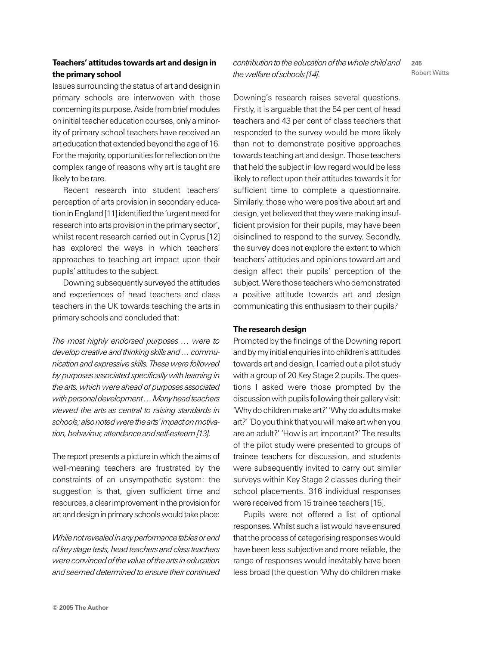# **Teachers' attitudes towards art and design in the primary school**

Issues surrounding the status of art and design in primary schools are interwoven with those concerning its purpose. Aside from brief modules on initial teacher education courses, only a minority of primary school teachers have received an art education that extended beyond the age of 16. For the majority, opportunities for reflection on the complex range of reasons why art is taught are likely to be rare.

Recent research into student teachers' perception of arts provision in secondary education in England [11] identified the 'urgent need for research into arts provision in the primary sector', whilst recent research carried out in Cyprus [12] has explored the ways in which teachers' approaches to teaching art impact upon their pupils' attitudes to the subject.

Downing subsequently surveyed the attitudes and experiences of head teachers and class teachers in the UK towards teaching the arts in primary schools and concluded that:

*The most highly endorsed purposes … were to develop creative and thinking skills and … communication and expressive skills. These were followed by purposes associated specifically with learning in the arts, which were ahead of purposes associated with personal development … Many head teachers viewed the arts as central to raising standards in schools; also noted were the arts' impact on motivation, behaviour, attendance and self-esteem [13].*

The report presents a picture in which the aims of well-meaning teachers are frustrated by the constraints of an unsympathetic system: the suggestion is that, given sufficient time and resources, a clear improvement in the provision for art and design in primary schools would take place:

*While not revealed in any performance tables or end of key stage tests, head teachers and class teachers were convinced of the value of the arts in education and seemed determined to ensure their continued* *contribution to the education of the whole child and the welfare of schools [14].*

Downing's research raises several questions. Firstly, it is arguable that the 54 per cent of head teachers and 43 per cent of class teachers that responded to the survey would be more likely than not to demonstrate positive approaches towards teaching art and design. Those teachers that held the subject in low regard would be less likely to reflect upon their attitudes towards it for sufficient time to complete a questionnaire. Similarly, those who were positive about art and design, yet believed that they were making insufficient provision for their pupils, may have been disinclined to respond to the survey. Secondly, the survey does not explore the extent to which teachers' attitudes and opinions toward art and design affect their pupils' perception of the subject. Were those teachers who demonstrated a positive attitude towards art and design communicating this enthusiasm to their pupils?

### **The research design**

Prompted by the findings of the Downing report and by my initial enquiries into children's attitudes towards art and design, I carried out a pilot study with a group of 20 Key Stage 2 pupils. The questions I asked were those prompted by the discussion with pupils following their gallery visit: 'Why do children make art?' 'Why do adults make art?' 'Do you think that you will make art when you are an adult?' 'How is art important?' The results of the pilot study were presented to groups of trainee teachers for discussion, and students were subsequently invited to carry out similar surveys within Key Stage 2 classes during their school placements. 316 individual responses were received from 15 trainee teachers [15].

Pupils were not offered a list of optional responses. Whilst such a list would have ensured that the process of categorising responses would have been less subjective and more reliable, the range of responses would inevitably have been less broad (the question *'*Why do children make

**© 2005 The Author**

**245** Robert Watts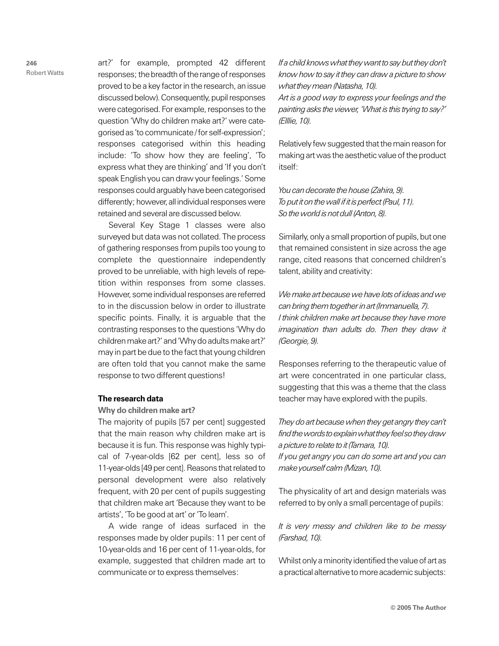art?' for example, prompted 42 different responses; the breadth of the range of responses proved to be a key factor in the research, an issue discussed below). Consequently, pupil responses were categorised. For example, responses to the question 'Why do children make art?' were categorised as 'to communicate / for self-expression'; responses categorised within this heading include: 'To show how they are feeling', 'To express what they are thinking' and 'If you don't speak English you can draw your feelings.' Some responses could arguably have been categorised differently; however, all individual responses were retained and several are discussed below.

Several Key Stage 1 classes were also surveyed but data was not collated. The process of gathering responses from pupils too young to complete the questionnaire independently proved to be unreliable, with high levels of repetition within responses from some classes. However, some individual responses are referred to in the discussion below in order to illustrate specific points. Finally, it is arguable that the contrasting responses to the questions 'Why do children make art?' and 'Why do adults make art?' may in part be due to the fact that young children are often told that you cannot make the same response to two different questions!

#### **The research data**

#### **Why do children make art?**

The majority of pupils [57 per cent] suggested that the main reason why children make art is because it is fun. This response was highly typical of 7-year-olds [62 per cent], less so of 11-year-olds [49 per cent]. Reasons that related to personal development were also relatively frequent, with 20 per cent of pupils suggesting that children make art 'Because they want to be artists', 'To be good at art' or 'To learn'.

A wide range of ideas surfaced in the responses made by older pupils: 11 per cent of 10-year-olds and 16 per cent of 11-year-olds, for example, suggested that children made art to communicate or to express themselves:

*If a child knows what they want to say but they don't know how to say it they can draw a picture to show what they mean (Natasha, 10).* 

*Art is a good way to express your feelings and the painting asks the viewer, 'What is this trying to say?' (Elllie, 10).*

Relatively few suggested that the main reason for making art was the aesthetic value of the product itself:

*You can decorate the house (Zahira, 9). To put it on the wall if it is perfect (Paul, 11). So the world is not dull (Anton, 8).*

Similarly, only a small proportion of pupils, but one that remained consistent in size across the age range, cited reasons that concerned children's talent, ability and creativity:

*We make art because we have lots of ideas and we can bring them together in art (Immanuella, 7). I think children make art because they have more imagination than adults do. Then they draw it (Georgie, 9).*

Responses referring to the therapeutic value of art were concentrated in one particular class, suggesting that this was a theme that the class teacher may have explored with the pupils.

*They do art because when they get angry they can't find the words to explain what they feel so they draw a picture to relate to it (Tamara, 10).*

*If you get angry you can do some art and you can make yourself calm (Mizan, 10).*

The physicality of art and design materials was referred to by only a small percentage of pupils:

*It is very messy and children like to be messy (Farshad, 10).*

Whilst only a minority identified the value of art as a practical alternative to more academic subjects: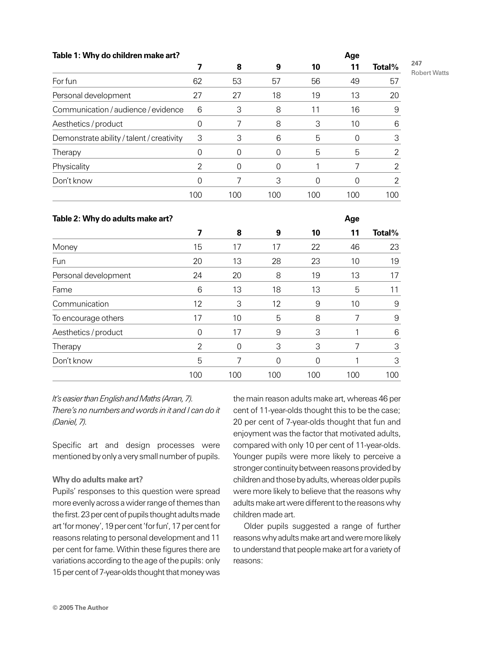#### **Table 1: Why do children make art?** Age arrible to the state of the state of the state of the state of the state of the state of the state of the state of the state of the state of the state of the state of the state of t

|                                           |     | 8   |     | 10  | 11  | Total% |
|-------------------------------------------|-----|-----|-----|-----|-----|--------|
| For fun                                   | 62  | 53  | 57  | 56  | 49  | 57     |
| Personal development                      | 27  | 27  | 18  | 19  | 13  | 20     |
| Communication / audience / evidence       | 6   | 3   | 8   | 11  | 16  | 9      |
| Aesthetics / product                      | 0   |     | 8   | 3   | 10  | 6      |
| Demonstrate ability / talent / creativity | 3   | 3   | 6   | 5   | Ω   | 3      |
| Therapy                                   | 0   | 0   |     | 5   | 5   | っ      |
| Physicality                               | 2   | 0   |     |     |     |        |
| Don't know                                | 0   |     | 3   | 0   | Ω   |        |
|                                           | 100 | 100 | 100 | 100 | 100 | 100    |

**247** Robert Watts

| Table 2: Why do adults make art? |     |          |          |          | Age |        |
|----------------------------------|-----|----------|----------|----------|-----|--------|
|                                  | 7   | 8        | 9        | 10       | 11  | Total% |
| Money                            | 15  | 17       | 17       | 22       | 46  | 23     |
| <b>Fun</b>                       | 20  | 13       | 28       | 23       | 10  | 19     |
| Personal development             | 24  | 20       | 8        | 19       | 13  | 17     |
| Fame                             | 6   | 13       | 18       | 13       | 5   | 11     |
| Communication                    | 12  | 3        | 12       | 9        | 10  | 9      |
| To encourage others              | 17  | 10       | 5        | 8        | 7   | 9      |
| Aesthetics / product             | 0   | 17       | 9        | 3        |     | 6      |
| Therapy                          | 2   | $\Omega$ | 3        | 3        | 7   | 3      |
| Don't know                       | 5   | 7        | $\Omega$ | $\Omega$ |     | 3      |
|                                  | 100 | 100      | 100      | 100      | 100 | 100    |

*It's easier than English and Maths (Arran, 7). There's no numbers and words in it and I can do it (Daniel, 7).*

Specific art and design processes were mentioned by only a very small number of pupils.

## **Why do adults make art?**

Pupils' responses to this question were spread more evenly across a wider range of themes than the first. 23 per cent of pupils thought adults made art 'for money', 19 per cent 'for fun', 17 per cent for reasons relating to personal development and 11 per cent for fame. Within these figures there are variations according to the age of the pupils: only 15 per cent of 7-year-olds thought that money was the main reason adults make art, whereas 46 per cent of 11-year-olds thought this to be the case; 20 per cent of 7-year-olds thought that fun and enjoyment was the factor that motivated adults, compared with only 10 per cent of 11-year-olds. Younger pupils were more likely to perceive a stronger continuity between reasons provided by children and those by adults, whereas older pupils were more likely to believe that the reasons why adults make art were different to the reasons why children made art.

Older pupils suggested a range of further reasons why adults make art and were more likely to understand that people make art for a variety of reasons: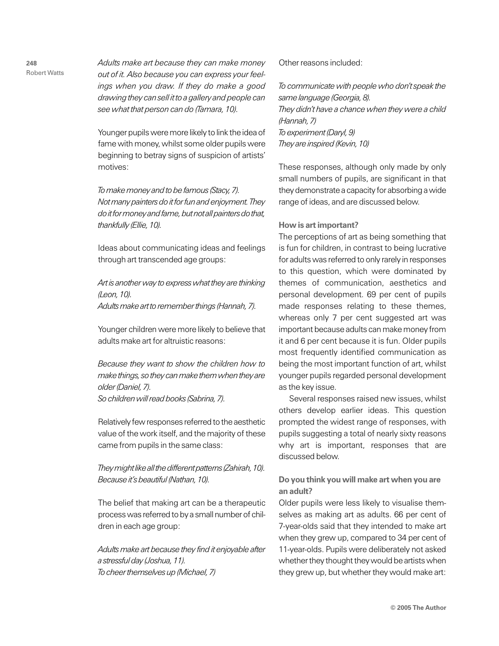*Adults make art because they can make money out of it. Also because you can express your feelings when you draw. If they do make a good drawing they can sell it to a gallery and people can see what that person can do (Tamara, 10).*

Younger pupils were more likely to link the idea of fame with money, whilst some older pupils were beginning to betray signs of suspicion of artists' motives:

*To make money and to be famous (Stacy, 7). Not many painters do it for fun and enjoyment. They do it for money and fame, but not all painters do that, thankfully (Ellie, 10).*

Ideas about communicating ideas and feelings through art transcended age groups:

*Art is another way to express what they are thinking (Leon, 10). Adults make art to remember things (Hannah, 7).*

Younger children were more likely to believe that adults make art for altruistic reasons:

*Because they want to show the children how to make things, so they can make them when they are older (Daniel, 7). So children will read books (Sabrina, 7).*

Relatively few responses referred to the aesthetic value of the work itself, and the majority of these came from pupils in the same class:

# *They might like all the different patterns (Zahirah, 10). Because it's beautiful (Nathan, 10).*

The belief that making art can be a therapeutic process was referred to by a small number of children in each age group:

*Adults make art because they find it enjoyable after a stressful day (Joshua, 11). To cheer themselves up (Michael, 7)*

Other reasons included:

*To communicate with people who don't speak the same language (Georgia, 8). They didn't have a chance when they were a child (Hannah, 7) To experiment (Daryl, 9) They are inspired (Kevin, 10)*

These responses, although only made by only small numbers of pupils, are significant in that they demonstrate a capacity for absorbing a wide range of ideas, and are discussed below.

## **How is art important?**

The perceptions of art as being something that is fun for children, in contrast to being lucrative for adults was referred to only rarely in responses to this question, which were dominated by themes of communication, aesthetics and personal development. 69 per cent of pupils made responses relating to these themes, whereas only 7 per cent suggested art was important because adults can make money from it and 6 per cent because it is fun. Older pupils most frequently identified communication as being the most important function of art, whilst younger pupils regarded personal development as the key issue.

Several responses raised new issues, whilst others develop earlier ideas. This question prompted the widest range of responses, with pupils suggesting a total of nearly sixty reasons why art is important, responses that are discussed below.

# **Do you think you will make art when you are an adult?**

Older pupils were less likely to visualise themselves as making art as adults. 66 per cent of 7-year-olds said that they intended to make art when they grew up, compared to 34 per cent of 11-year-olds. Pupils were deliberately not asked whether they thought they would be artists when they grew up, but whether they would make art: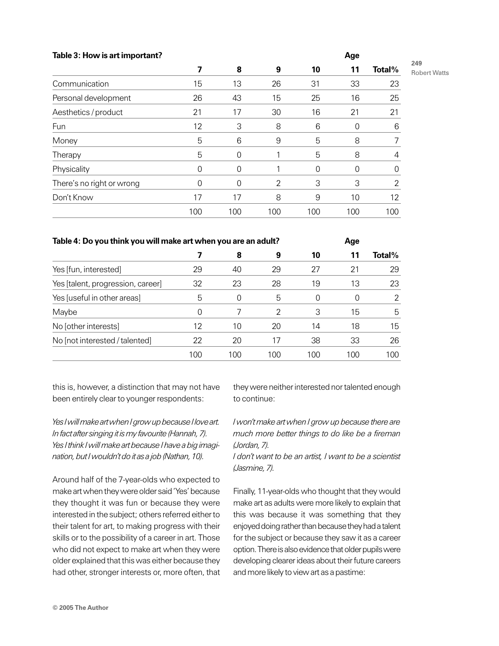#### **Table 3: How is art important? Age**

|                           |          | 8        | 9   | 10       | 11  | Total% |
|---------------------------|----------|----------|-----|----------|-----|--------|
| Communication             | 15       | 13       | 26  | 31       | 33  | 23     |
| Personal development      | 26       | 43       | 15  | 25       | 16  | 25     |
| Aesthetics / product      | 21       | 17       | 30  | 16       | 21  | 21     |
| Fun                       | 12       | 3        | 8   | 6        | 0   | 6      |
| Money                     | 5        | 6        | 9   | 5        | 8   |        |
| Therapy                   | 5        | $\Omega$ |     | 5        | 8   | 4      |
| Physicality               | $\Omega$ | $\Omega$ |     | $\Omega$ | 0   | 0      |
| There's no right or wrong | 0        | $\Omega$ | 2   | 3        | 3   | 2      |
| Don't Know                | 17       | 17       | 8   | 9        | 10  | 12     |
|                           | 100      | 100      | 100 | 100      | 100 | 100    |

**249** Robert Watts

|                                   | Table 4: Do you think you will make art when you are an adult? |     |     |     | Age |        |  |
|-----------------------------------|----------------------------------------------------------------|-----|-----|-----|-----|--------|--|
|                                   |                                                                | 8   | 9   | 10  | 11  | Total% |  |
| Yes [fun, interested]             | 29                                                             | 40  | 29  | 27  | 21  | 29     |  |
| Yes [talent, progression, career] | 32                                                             | 23  | 28  | 19  | 13  | 23     |  |
| Yes [useful in other areas]       | 5                                                              | 0   | 5   | 0   | 0   | 2      |  |
| Maybe                             | 0                                                              |     | 2   | 3   | 15  | 5      |  |
| No fother interests               | 12                                                             | 10  | 20  | 14  | 18  | 15     |  |
| No [not interested / talented]    | 22                                                             | 20  | 17  | 38  | 33  | 26     |  |
|                                   | 100                                                            | 100 | 100 | 100 | 100 | 100    |  |

this is, however, a distinction that may not have been entirely clear to younger respondents:

*Yes I will make art when I grow up because I love art. In fact after singing it is my favourite (Hannah, 7). Yes I think I will make art because I have a big imagination, but I wouldn't do it as a job (Nathan, 10).*

Around half of the 7-year-olds who expected to make art when they were older said 'Yes' because they thought it was fun or because they were interested in the subject; others referred either to their talent for art, to making progress with their skills or to the possibility of a career in art. Those who did not expect to make art when they were older explained that this was either because they had other, stronger interests or, more often, that they were neither interested nor talented enough to continue:

*I won't make art when I grow up because there are much more better things to do like be a fireman (Jordan, 7).*

*I don't want to be an artist, I want to be a scientist (Jasmine, 7).*

Finally, 11-year-olds who thought that they would make art as adults were more likely to explain that this was because it was something that they enjoyed doing rather than because they had a talent for the subject or because they saw it as a career option. There is also evidence that older pupils were developing clearer ideas about their future careers and more likely to view art as a pastime: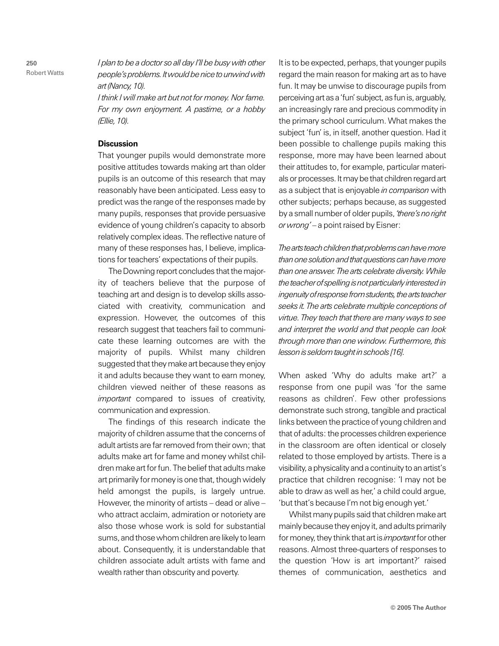*I plan to be a doctor so all day I'll be busy with other people's problems. It would be nice to unwind with art (Nancy, 10).*

*I think I will make art but not for money. Nor fame. For my own enjoyment. A pastime, or a hobby (Ellie, 10).*

## **Discussion**

That younger pupils would demonstrate more positive attitudes towards making art than older pupils is an outcome of this research that may reasonably have been anticipated. Less easy to predict was the range of the responses made by many pupils, responses that provide persuasive evidence of young children's capacity to absorb relatively complex ideas. The reflective nature of many of these responses has, I believe, implications for teachers' expectations of their pupils.

The Downing report concludes that the majority of teachers believe that the purpose of teaching art and design is to develop skills associated with creativity, communication and expression. However, the outcomes of this research suggest that teachers fail to communicate these learning outcomes are with the majority of pupils. Whilst many children suggested that they make art because they enjoy it and adults because they want to earn money, children viewed neither of these reasons as *important* compared to issues of creativity, communication and expression.

The findings of this research indicate the majority of children assume that the concerns of adult artists are far removed from their own; that adults make art for fame and money whilst children make art for fun. The belief that adults make art primarily for money is one that, though widely held amongst the pupils, is largely untrue. However, the minority of artists – dead or alive – who attract acclaim, admiration or notoriety are also those whose work is sold for substantial sums, and those whom children are likely to learn about. Consequently, it is understandable that children associate adult artists with fame and wealth rather than obscurity and poverty.

It is to be expected, perhaps, that younger pupils regard the main reason for making art as to have fun. It may be unwise to discourage pupils from perceiving art as a 'fun' subject, as fun is, arguably, an increasingly rare and precious commodity in the primary school curriculum. What makes the subject 'fun' is, in itself, another question. Had it been possible to challenge pupils making this response, more may have been learned about their attitudes to, for example, particular materials or processes. It may be that children regard art as a subject that is enjoyable *in comparison* with other subjects; perhaps because, as suggested by a small number of older pupils, *'there's no right or wrong'* – a point raised by Eisner:

*The arts teach children that problems can have more than one solution and that questions can have more than one answer. The arts celebrate diversity. While the teacher of spelling is not particularly interested in ingenuity of response from students, the arts teacher seeks it. The arts celebrate multiple conceptions of virtue. They teach that there are many ways to see and interpret the world and that people can look through more than one window. Furthermore, this lesson is seldom taught in schools [16].*

When asked 'Why do adults make art?' a response from one pupil was 'for the same reasons as children'. Few other professions demonstrate such strong, tangible and practical links between the practice of young children and that of adults: the processes children experience in the classroom are often identical or closely related to those employed by artists. There is a visibility, a physicality and a continuity to an artist's practice that children recognise: 'I may not be able to draw as well as her,' a child could argue, 'but that's because I'm not big enough yet.'

Whilst many pupils said that children make art mainly because they enjoy it, and adults primarily for money, they think that art is *important*for other reasons. Almost three-quarters of responses to the question 'How is art important?' raised themes of communication, aesthetics and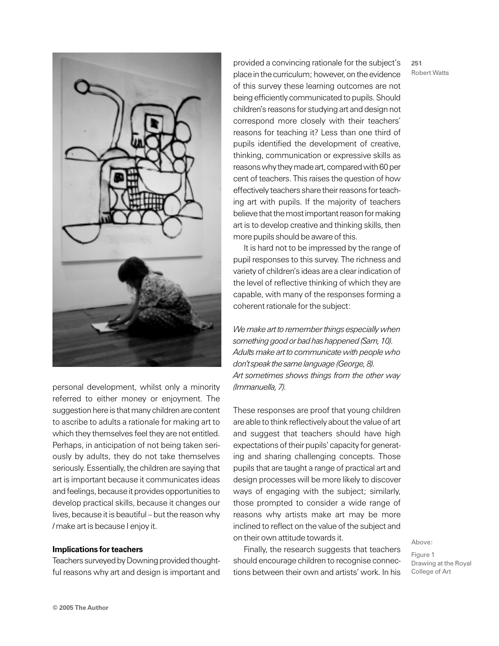

personal development, whilst only a minority referred to either money or enjoyment. The suggestion here is that many children are content to ascribe to adults a rationale for making art to which they themselves feel they are not entitled. Perhaps, in anticipation of not being taken seriously by adults, they do not take themselves seriously. Essentially, the children are saying that art is important because it communicates ideas and feelings, because it provides opportunities to develop practical skills, because it changes our lives, because it is beautiful – but the reason why *I* make art is because I enjoy it.

#### **Implications for teachers**

Teachers surveyed by Downing provided thoughtful reasons why art and design is important and

provided a convincing rationale for the subject's place in the curriculum; however, on the evidence of this survey these learning outcomes are not being efficiently communicated to pupils. Should children's reasons for studying art and design not correspond more closely with their teachers' reasons for teaching it? Less than one third of pupils identified the development of creative, thinking, communication or expressive skills as reasons why they made art, compared with 60 per cent of teachers. This raises the question of how effectively teachers share their reasons for teaching art with pupils. If the majority of teachers believe that the most important reason for making art is to develop creative and thinking skills, then more pupils should be aware of this.

It is hard not to be impressed by the range of pupil responses to this survey. The richness and variety of children's ideas are a clear indication of the level of reflective thinking of which they are capable, with many of the responses forming a coherent rationale for the subject:

*We make art to remember things especially when something good or bad has happened (Sam, 10). Adults make art to communicate with people who don't speak the same language (George, 8). Art sometimes shows things from the other way (Immanuella, 7).*

These responses are proof that young children are able to think reflectively about the value of art and suggest that teachers should have high expectations of their pupils' capacity for generating and sharing challenging concepts. Those pupils that are taught a range of practical art and design processes will be more likely to discover ways of engaging with the subject; similarly, those prompted to consider a wide range of reasons why artists make art may be more inclined to reflect on the value of the subject and on their own attitude towards it.

Finally, the research suggests that teachers should encourage children to recognise connections between their own and artists' work. In his **251** Robert Watts

Above:

Figure 1 Drawing at the Royal College of Art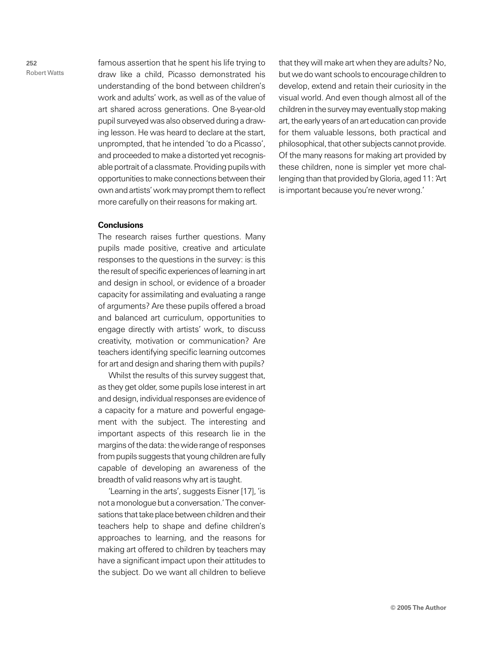famous assertion that he spent his life trying to draw like a child, Picasso demonstrated his understanding of the bond between children's work and adults' work, as well as of the value of art shared across generations. One 8-year-old pupil surveyed was also observed during a drawing lesson. He was heard to declare at the start, unprompted, that he intended 'to do a Picasso', and proceeded to make a distorted yet recognisable portrait of a classmate. Providing pupils with opportunities to make connections between their own and artists' work may prompt them to reflect more carefully on their reasons for making art.

#### **Conclusions**

The research raises further questions. Many pupils made positive, creative and articulate responses to the questions in the survey: is this the result of specific experiences of learning in art and design in school, or evidence of a broader capacity for assimilating and evaluating a range of arguments? Are these pupils offered a broad and balanced art curriculum, opportunities to engage directly with artists' work, to discuss creativity, motivation or communication? Are teachers identifying specific learning outcomes for art and design and sharing them with pupils?

Whilst the results of this survey suggest that, as they get older, some pupils lose interest in art and design, individual responses are evidence of a capacity for a mature and powerful engagement with the subject. The interesting and important aspects of this research lie in the margins of the data: the wide range of responses from pupils suggests that young children are fully capable of developing an awareness of the breadth of valid reasons why art is taught.

'Learning in the arts', suggests Eisner [17], 'is not a monologue but a conversation.' The conversations that take place between children and their teachers help to shape and define children's approaches to learning, and the reasons for making art offered to children by teachers may have a significant impact upon their attitudes to the subject. Do we want all children to believe

that they will make art when they are adults? No, but we do want schools to encourage children to develop, extend and retain their curiosity in the visual world. And even though almost all of the children in the survey may eventually stop making art, the early years of an art education can provide for them valuable lessons, both practical and philosophical, that other subjects cannot provide. Of the many reasons for making art provided by these children, none is simpler yet more challenging than that provided by Gloria, aged 11: 'Art is important because you're never wrong.'